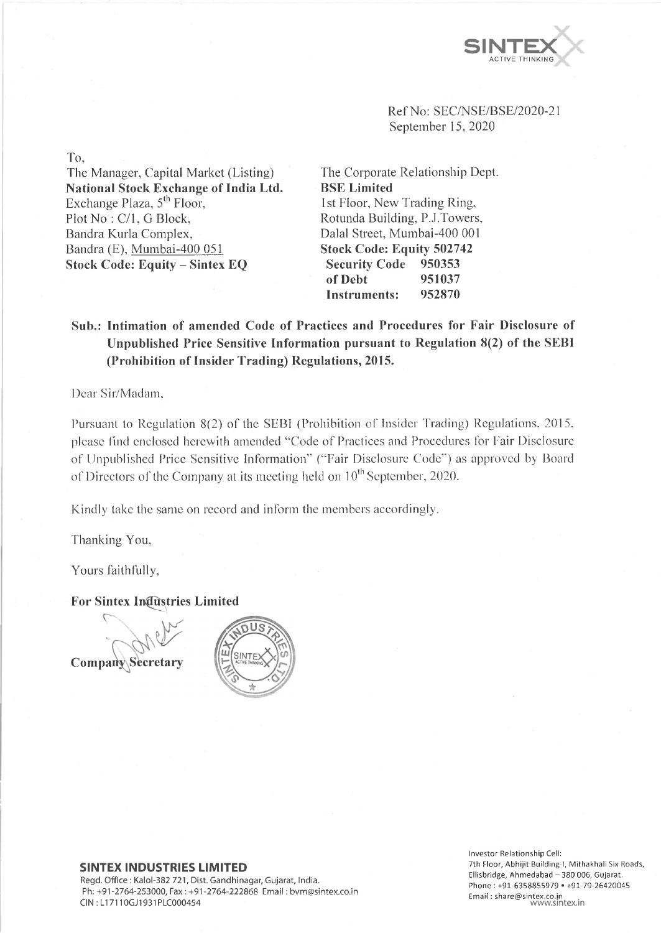

Ref No: SEC/NSE/BSE/2020-21 September 15, 2020

The Corporate Relationship Dept. **B SE Limited** 1st Floor, New Trading Ring, Rotunda Building, P.J.Towers, Dalai Street, Mumbai-400 001 **Stock Code: Equity 502742 Security Code 950353 of Debt 951037 Instruments: 952870**

# **Sub.: Intimation of amended Code of Practices and Procedures for Fair Disclosure of Unpublished Price Sensitive Information pursuant to Regulation 8(2) of the SEB I (Prohibition of Insider Trading) Regulations, 2015.**

Dear Sir/Madam,

Pursuant to Regulation 8(2) of the SEBI (Prohibition of Insider Trading) Regulations, 2015, please find enclosed herewith amended " Code of Practices and Procedures for Fair Disclosure of Unpublished Price Sensitive Information" (" Fair Disclosure Code" ) as approved by Board of Directors of the Company at its meeting held on  $10^{th}$  September, 2020.

Kindly take the same on record and inform the members accordingly.

Thanking You,

Yours faithfully,

**For Sintex Industries Limited**





### **SINTEX INDUSTRIES LIMITED**

Regd. Office : Kalol-382 721, Dist. Gandhinagar, Gujarat, India. Ph: +91-2764-253000, Fax: +91-2764-222868 Email: bvm@sintex.co.in CIN :L17110GJ1931PLC000454

Investor Relationship Cell: 7th Floor, Abhijit Building-I, Mithakhali Six Roads, Ellisbridge, Ahmedabad - 380 006, Gujarat. Phone : +91-6358855979 • +91-79-26420045 Emaii: [share@sintex.co.in](mailto:share@sintex.co.in) [www.sintex.in](http://www.sintex.in)

To,

The Manager, Capital Market (Listing) **National Stock Exchange of India Ltd.**

Exchange Plaza,  $5<sup>th</sup>$  Floor, Plot No: C/1, G Block, Bandra Kurla Complex, Bandra (E), Mumbai-400 051 **Stock Code: Equity - Sintex EQ**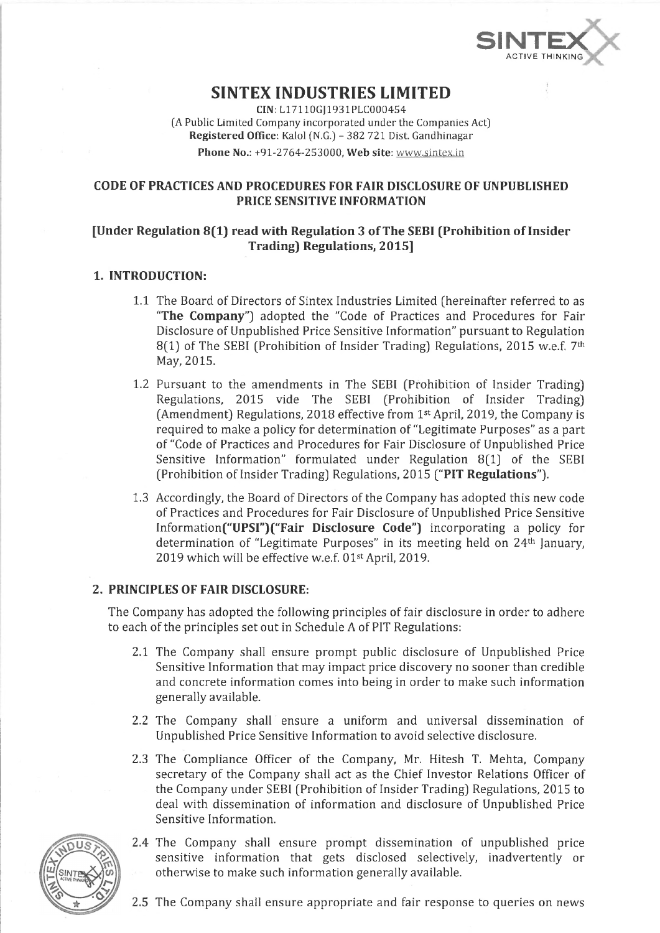

# **SINTEX INDUSTRIES LIMITED**

**CIN:**L17110GJ1931PLC000454 (A Public Limited Company incorporated under the Companies Act) **Registered Office:** Kalol (N.G.) - 382 721 Dist. Gandhinagar

**Phone No.:** +91-2764-253000, **Web site:** [www.sintex.in](http://www.sintex.in)

## **CODE OF PRACTICES AND PROCEDURES FOR FAIR DISCLOSURE OF UNPUBLISHED PRICE SENSITIVE INFORMATION**

# **[Under Regulation 8(1) read with Regulation 3 of The SEBI (Prohibition of Insider Trading) Regulations, 2015]**

## **1. INTRODUCTION:**

- 1.1 The Board of Directors of Sintex Industries Limited (hereinafter referred to as **"The Company")** adopted the "Code of Practices and Procedures for Fair Disclosure of Unpublished Price Sensitive Information" pursuant to Regulation 8(1) of The SEBI (Prohibition of Insider Trading) Regulations, 2015 w.e.f. 7<sup>th</sup> May, 2015.
- 1.2 Pursuant to the amendments in The SEBI (Prohibition of Insider Trading) Regulations, 2015 vide The SEBI (Prohibition of Insider Trading) (Amendment) Regulations, 2018 effective from 1st April, 2019, the Company is required to make a policy for determination of "Legitimate Purposes" as a part of "Code of Practices and Procedures for Fair Disclosure of Unpublished Price Sensitive Information" formulated under Regulation 8(1) of the SEBI (Prohibition of Insider Trading) Regulations, 2015 **("PIT Regulations").**
- 1.3 Accordingly, the Board of Directors of the Company has adopted this new code of Practices and Procedures for Fair Disclosure of Unpublished Price Sensitive Information("UPSI")("Fair **Disclosure Code")** incorporating a policy for determination of "Legitimate Purposes" in its meeting held on 24<sup>th</sup> January, 2019 which will be effective w.e.f. 01<sup>st</sup> April, 2019.

## **2. PRINCIPLES OF FAIR DISCLOSURE:**

The Company has adopted the following principles of fair disclosure in order to adhere to each of the principles set out in Schedule A of PIT Regulations:

- 2.1 The Company shall ensure prompt public disclosure of Unpublished Price Sensitive Information that may impact price discovery no sooner than credible and concrete information comes into being in order to make such information generally available.
- 2.2 The Company shall ensure a uniform and universal dissemination of Unpublished Price Sensitive Information to avoid selective disclosure.
- 2.3 The Compliance Officer of the Company, Mr. Hitesh T. Mehta, Company secretary of the Company shall act as the Chief Investor Relations Officer of the Company under SEBI (Prohibition of Insider Trading) Regulations, 2015 to deal with dissemination of information and disclosure of Unpublished Price Sensitive Information.



- 2.4 The Company shall ensure prompt dissemination of unpublished price sensitive information that gets disclosed selectively, inadvertently or otherwise to make such information generally available.
- 2.5 The Company shall ensure appropriate and fair response to queries on news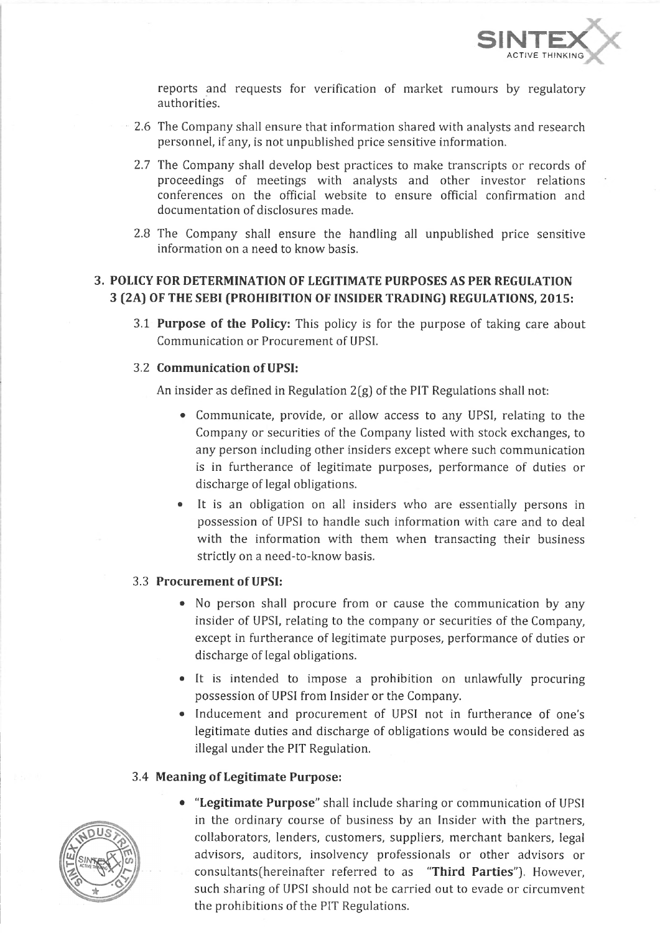

reports and requests for verification of market rumours by regulatory authorities.

- 2.6 The Company shall ensure that information shared with analysts and research personnel, if any, is not unpublished price sensitive information.
- 2.7 The Company shall develop best practices to make transcripts or records of proceedings of meetings with analysts and other investor relations conferences on the official website to ensure official confirmation and documentation of disclosures made.
- 2.8 The Company shall ensure the handling all unpublished price sensitive information on a need to know basis.

# **3. POLICY FOR DETERMINATION OF LEGITIMATE PURPOSES AS PER REGULATION 3 (2A) OF THE SEBI (PROHIBITION OF INSIDER TRADING) REGULATIONS, 2015:**

3.1 **Purpose of the Policy:** This policy is for the purpose of taking care about Communication or Procurement of UPSI.

## 3.2 **Communication of UPSI:**

An insider as defined in Regulation 2(g) of the PIT Regulations shall not:

- Communicate, provide, or allow access to any UPSI, relating to the Company or securities of the Company listed with stock exchanges, to any person including other insiders except where such communication is in furtherance of legitimate purposes, performance of duties or discharge of legal obligations.
- It is an obligation on all insiders who are essentially persons in possession of UPSI to handle such information with care and to deal with the information with them when transacting their business strictly on a need-to-know basis.

## 3.3 **Procurement of UPSI:**

- No person shall procure from or cause the communication by any insider of UPSI, relating to the company or securities of the Company, except in furtherance of legitimate purposes, performance of duties or discharge of legal obligations.
- It is intended to impose a prohibition on unlawfully procuring possession of UPSI from Insider or the Company.
- Inducement and procurement of UPSI not in furtherance of one's legitimate duties and discharge of obligations would be considered as illegal under the PIT Regulation.

## 3.4 **Meaning of Legitimate Purpose:**

- 
- **"Legitimate Purpose"** shall include sharing or communication of UPSI in the ordinary course of business by an Insider with the partners, collaborators, lenders, customers, suppliers, merchant bankers, legal advisors, auditors, insolvency professionals or other advisors or consultants(hereinafter referred to as **"Third Parties").** However, such sharing of UPSI should not be carried out to evade or circumvent the prohibitions of the PIT Regulations.